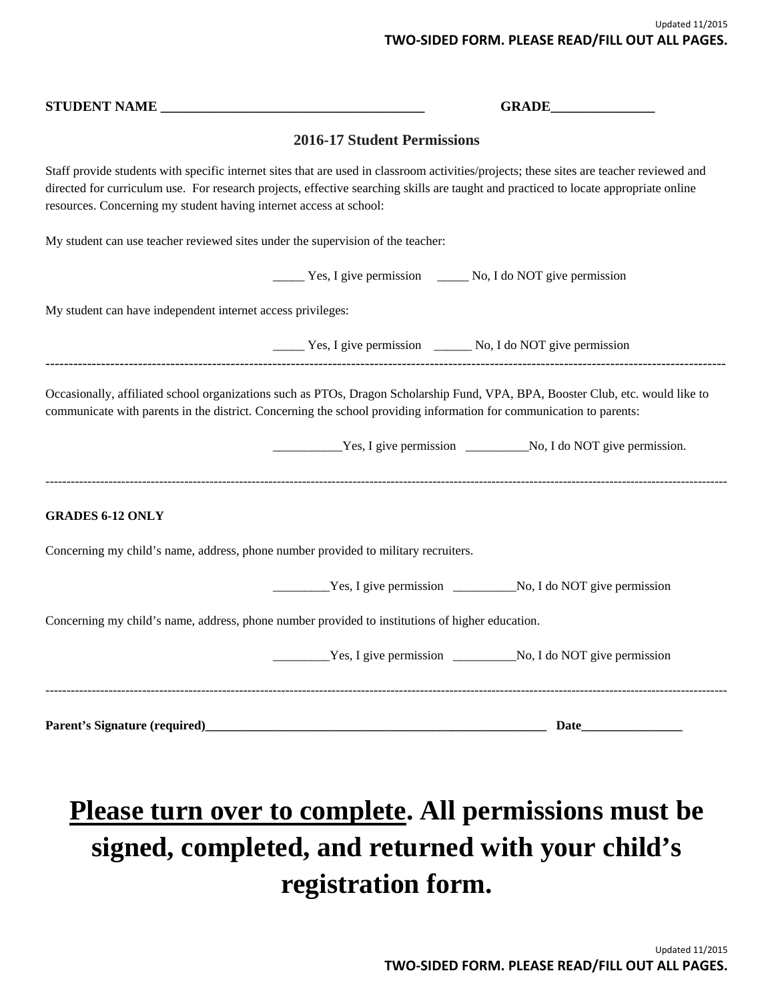|                                                                                 | GRADE                                                                                                                                                                                                                                                                            |
|---------------------------------------------------------------------------------|----------------------------------------------------------------------------------------------------------------------------------------------------------------------------------------------------------------------------------------------------------------------------------|
|                                                                                 | <b>2016-17 Student Permissions</b>                                                                                                                                                                                                                                               |
| resources. Concerning my student having internet access at school:              | Staff provide students with specific internet sites that are used in classroom activities/projects; these sites are teacher reviewed and<br>directed for curriculum use. For research projects, effective searching skills are taught and practiced to locate appropriate online |
| My student can use teacher reviewed sites under the supervision of the teacher: |                                                                                                                                                                                                                                                                                  |
|                                                                                 | __ Yes, I give permission _____ No, I do NOT give permission                                                                                                                                                                                                                     |
| My student can have independent internet access privileges:                     |                                                                                                                                                                                                                                                                                  |
|                                                                                 | __________ Yes, I give permission ___________ No, I do NOT give permission                                                                                                                                                                                                       |
| <b>GRADES 6-12 ONLY</b>                                                         |                                                                                                                                                                                                                                                                                  |
|                                                                                 | Concerning my child's name, address, phone number provided to military recruiters.                                                                                                                                                                                               |
|                                                                                 |                                                                                                                                                                                                                                                                                  |
|                                                                                 | Concerning my child's name, address, phone number provided to institutions of higher education.                                                                                                                                                                                  |
|                                                                                 |                                                                                                                                                                                                                                                                                  |
| Parent's Signature (required)                                                   | Date                                                                                                                                                                                                                                                                             |

## **Please turn over to complete. All permissions must be signed, completed, and returned with your child's registration form.**